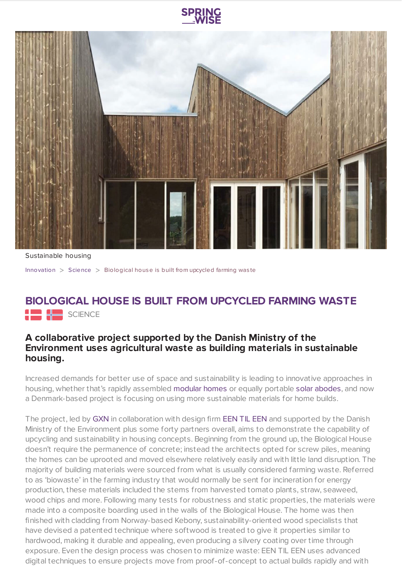



Sustainable housing

[Innovation](https://www.springwise.com/search?type=innovation) > [Science](https://www.springwise.com/search?type=innovation§or=science-and-natural-world) > Biological house is built from upcycled farming was te

## **BIOLOGICAL HOUSE IS BUILT FROM UPCYCLED FARMING WASTE** SCIENCE

## **A collaborative project supported by the Danish Ministry of the Environment uses agricultural waste as building materials in sustainable housing.**

Increased demands for better use of space and sustainability is leading to innovative approaches in housing, whether that's rapidly assembled [modular](https://www.springwise.com/free-standing-smart-home-portable-eco-friendly/) homes or equally portable solar [abodes,](https://www.springwise.com/3d-printed-smart-modular-home-fully-powered-solar/) and now a Denmark-based project is focusing on using more sustainable materials for home builds.

The project, led by [GXN](http://gxn.3xn.com/project/biological-house) in collaboration with design firm [EEN](http://eentileen.dk/forside) TIL EEN and supported by the Danish Ministry of the Environment plus some forty partners overall, aims to demonstrate the capability of upcycling and sustainability in housing concepts. Beginning from the ground up, the Biological House doesn't require the permanence of concrete; instead the architects opted for screw piles, meaning the homes can be uprooted and moved elsewhere relatively easily and with little land disruption. The majority of building materials were sourced from what is usually considered farming waste. Referred to as 'biowaste' in the farming industry that would normally be sent for incineration for energy production, these materials included the stems from harvested tomato plants, straw, seaweed, wood chips and more. Following many tests for robustness and static properties, the materials were made into a composite boarding used in the walls of the Biological House. The home was then finished with cladding from Norway-based Kebony, sustainability-oriented wood specialists that have devised a patented technique where softwood is treated to give it properties similar to hardwood, making it durable and appealing, even producing a silvery coating over time through exposure. Even the design process was chosen to minimize waste: EEN TIL EEN uses advanced digital techniques to ensure projects move from proof-of-concept to actual builds rapidly and with